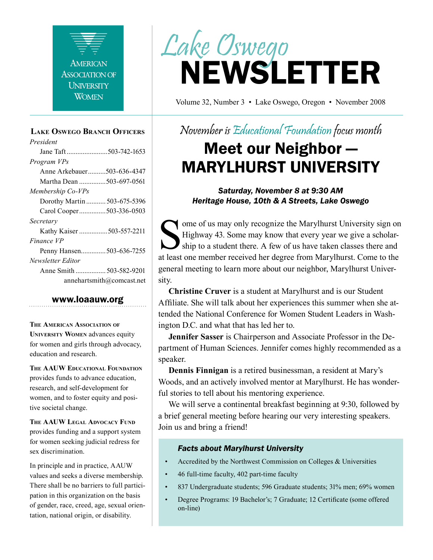

#### **Lake Oswego Branch Officers**

*President* Jane Taft .......................503-742-1653 *Program VPs* Anne Arkebauer..........503-636-4347 Martha Dean ...............503-697-0561 *Membership Co-VPs* Dorothy Martin ........... 503-675-5396 Carol Cooper...............503-336-0503 *Secretary* Kathy Kaiser ................503-557-2211 *Finance VP* Penny Hansen..............503-636-7255 *Newsletter Editor* Anne Smith ................. 503-582-9201 annehartsmith@comcast.net

#### www.loaauw.org

**The American Association of University Women** advances equity for women and girls through advocacy, education and research.

**The AAUW Educational Foundation** provides funds to advance education, research, and self-development for women, and to foster equity and positive societal change.

**The AAUW Legal Advocacy Fund** provides funding and a support system for women seeking judicial redress for sex discrimination.

In principle and in practice, AAUW values and seeks a diverse membership. There shall be no barriers to full participation in this organization on the basis of gender, race, creed, age, sexual orientation, national origin, or disability.



Volume 32, Number 3 • Lake Oswego, Oregon • November 2008

## November is Educational Foundation focus month

## Meet our Neighbor — MARYLHURST UNIVERSITY

*Saturday, November 8 at 9:30 AM Heritage House, 10th & A Streets, Lake Oswego*

Some of us may only recognize the Marylhurst University sign on<br>Highway 43. Some may know that every year we give a scholar-<br>ship to a student there. A few of us have taken classes there and<br>at least one member received he Highway 43. Some may know that every year we give a scholarship to a student there. A few of us have taken classes there and at least one member received her degree from Marylhurst. Come to the general meeting to learn more about our neighbor, Marylhurst University.

**Christine Cruver** is a student at Marylhurst and is our Student Affiliate. She will talk about her experiences this summer when she attended the National Conference for Women Student Leaders in Washington D.C. and what that has led her to.

**Jennifer Sasser** is Chairperson and Associate Professor in the Department of Human Sciences. Jennifer comes highly recommended as a speaker.

**Dennis Finnigan** is a retired businessman, a resident at Mary's Woods, and an actively involved mentor at Marylhurst. He has wonderful stories to tell about his mentoring experience.

We will serve a continental breakfast beginning at 9:30, followed by a brief general meeting before hearing our very interesting speakers. Join us and bring a friend!

#### *Facts about Marylhurst University*

- Accredited by the Northwest Commission on Colleges & Universities
- 46 full-time faculty, 402 part-time faculty
- 837 Undergraduate students; 596 Graduate students; 31% men; 69% women
- Degree Programs: 19 Bachelor's; 7 Graduate; 12 Certificate (some offered on-line)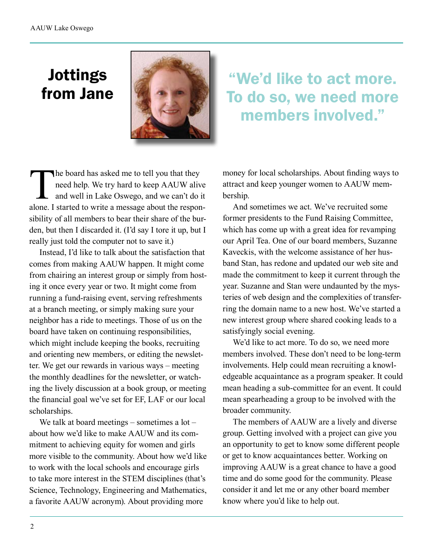## Jottings from Jane



"We'd like to act more. To do so, we need more members involved."

The board has asked me to tell you that they<br>need help. We try hard to keep AAUW alive<br>and well in Lake Oswego, and we can't do is<br>alone I started to write a message about the respon need help. We try hard to keep AAUW alive and well in Lake Oswego, and we can't do it alone. I started to write a message about the responsibility of all members to bear their share of the burden, but then I discarded it. (I'd say I tore it up, but I really just told the computer not to save it.)

Instead, I'd like to talk about the satisfaction that comes from making AAUW happen. It might come from chairing an interest group or simply from hosting it once every year or two. It might come from running a fund-raising event, serving refreshments at a branch meeting, or simply making sure your neighbor has a ride to meetings. Those of us on the board have taken on continuing responsibilities, which might include keeping the books, recruiting and orienting new members, or editing the newsletter. We get our rewards in various ways – meeting the monthly deadlines for the newsletter, or watching the lively discussion at a book group, or meeting the financial goal we've set for EF, LAF or our local scholarships.

We talk at board meetings – sometimes a lot – about how we'd like to make AAUW and its commitment to achieving equity for women and girls more visible to the community. About how we'd like to work with the local schools and encourage girls to take more interest in the STEM disciplines (that's Science, Technology, Engineering and Mathematics, a favorite AAUW acronym). About providing more

money for local scholarships. About finding ways to attract and keep younger women to AAUW membership.

And sometimes we act. We've recruited some former presidents to the Fund Raising Committee, which has come up with a great idea for revamping our April Tea. One of our board members, Suzanne Kaveckis, with the welcome assistance of her husband Stan, has redone and updated our web site and made the commitment to keep it current through the year. Suzanne and Stan were undaunted by the mysteries of web design and the complexities of transferring the domain name to a new host. We've started a new interest group where shared cooking leads to a satisfyingly social evening.

We'd like to act more. To do so, we need more members involved. These don't need to be long-term involvements. Help could mean recruiting a knowledgeable acquaintance as a program speaker. It could mean heading a sub-committee for an event. It could mean spearheading a group to be involved with the broader community.

The members of AAUW are a lively and diverse group. Getting involved with a project can give you an opportunity to get to know some different people or get to know acquaintances better. Working on improving AAUW is a great chance to have a good time and do some good for the community. Please consider it and let me or any other board member know where you'd like to help out.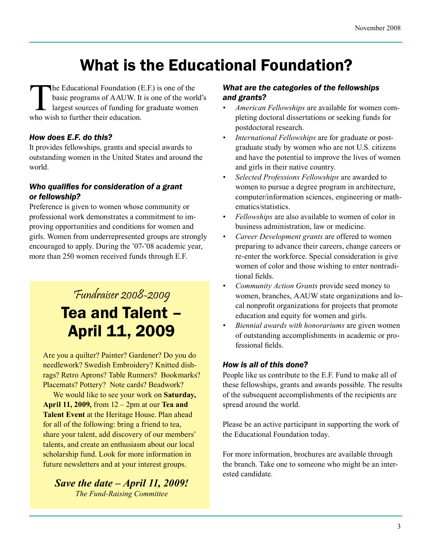# What is the Educational Foundation?

The Educational Foundation (E.F.) is one of the<br>basic programs of AAUW. It is one of the worl<br>largest sources of funding for graduate women<br>who wish to further their education basic programs of AAUW. It is one of the world's largest sources of funding for graduate women who wish to further their education.

### *How does E.F. do this?*

It provides fellowships, grants and special awards to outstanding women in the United States and around the world.

#### *Who qualifies for consideration of a grant or fellowship?*

Preference is given to women whose community or professional work demonstrates a commitment to improving opportunities and conditions for women and girls. Women from underrepresented groups are strongly encouraged to apply. During the '07-'08 academic year, more than 250 women received funds through E.F.

## Fundraiser 2008-2009 Tea and Talent – April 11, 2009

Are you a quilter? Painter? Gardener? Do you do needlework? Swedish Embroidery? Knitted dishrags? Retro Aprons? Table Runners? Bookmarks? Placemats? Pottery? Note cards? Beadwork?

We would like to see your work on **Saturday, April 11, 2009,** from 12 – 2pm at our **Tea and Talent Event** at the Heritage House. Plan ahead for all of the following: bring a friend to tea, share your talent, add discovery of our members' talents, and create an enthusiasm about our local scholarship fund. Look for more information in future newsletters and at your interest groups.

*Save the date – April 11, 2009! The Fund-Raising Committee*

#### *What are the categories of the fellowships and grants?*

- *American Fellowships* are available for women completing doctoral dissertations or seeking funds for postdoctoral research.
- *International Fellowships are for graduate or post*graduate study by women who are not U.S. citizens and have the potential to improve the lives of women and girls in their native country.
- *• Selected Professions Fellowships* are awarded to women to pursue a degree program in architecture, computer/information sciences, engineering or mathematics/statistics.
- *Fellowships* are also available to women of color in business administration, law or medicine.
- *• Career Development grants* are offered to women preparing to advance their careers, change careers or re-enter the workforce. Special consideration is give women of color and those wishing to enter nontraditional fields.
- *Community Action Grants* provide seed money to women, branches, AAUW state organizations and local nonprofit organizations for projects that promote education and equity for women and girls.
- *Biennial awards with honorariums* are given women of outstanding accomplishments in academic or professional fields.

#### *How is all of this done?*

People like us contribute to the E.F. Fund to make all of these fellowships, grants and awards possible. The results of the subsequent accomplishments of the recipients are spread around the world.

Please be an active participant in supporting the work of the Educational Foundation today.

For more information, brochures are available through the branch. Take one to someone who might be an interested candidate.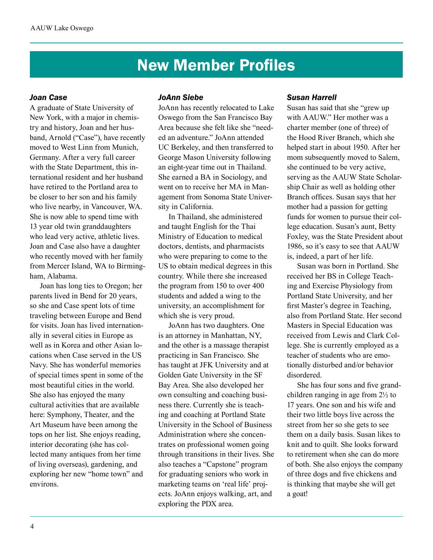## New Member Profiles

#### *Joan Case*

A graduate of State University of New York, with a major in chemistry and history, Joan and her husband, Arnold ("Case"), have recently moved to West Linn from Munich, Germany. After a very full career with the State Department, this international resident and her husband have retired to the Portland area to be closer to her son and his family who live nearby, in Vancouver, WA. She is now able to spend time with 13 year old twin granddaughters who lead very active, athletic lives. Joan and Case also have a daughter who recently moved with her family from Mercer Island, WA to Birmingham, Alabama.

Joan has long ties to Oregon; her parents lived in Bend for 20 years, so she and Case spent lots of time traveling between Europe and Bend for visits. Joan has lived internationally in several cities in Europe as well as in Korea and other Asian locations when Case served in the US Navy. She has wonderful memories of special times spent in some of the most beautiful cities in the world. She also has enjoyed the many cultural activities that are available here: Symphony, Theater, and the Art Museum have been among the tops on her list. She enjoys reading, interior decorating (she has collected many antiques from her time of living overseas), gardening, and exploring her new "home town" and environs.

#### *JoAnn Siebe*

JoAnn has recently relocated to Lake Oswego from the San Francisco Bay Area because she felt like she "needed an adventure." JoAnn attended UC Berkeley, and then transferred to George Mason University following an eight-year time out in Thailand. She earned a BA in Sociology, and went on to receive her MA in Management from Sonoma State University in California.

In Thailand, she administered and taught English for the Thai Ministry of Education to medical doctors, dentists, and pharmacists who were preparing to come to the US to obtain medical degrees in this country. While there she increased the program from 150 to over 400 students and added a wing to the university, an accomplishment for which she is very proud.

JoAnn has two daughters. One is an attorney in Manhattan, NY, and the other is a massage therapist practicing in San Francisco. She has taught at JFK University and at Golden Gate University in the SF Bay Area. She also developed her own consulting and coaching business there. Currently she is teaching and coaching at Portland State University in the School of Business Administration where she concentrates on professional women going through transitions in their lives. She also teaches a "Capstone" program for graduating seniors who work in marketing teams on 'real life' projects. JoAnn enjoys walking, art, and exploring the PDX area.

#### *Susan Harrell*

Susan has said that she "grew up with AAUW." Her mother was a charter member (one of three) of the Hood River Branch, which she helped start in about 1950. After her mom subsequently moved to Salem, she continued to be very active, serving as the AAUW State Scholarship Chair as well as holding other Branch offices. Susan says that her mother had a passion for getting funds for women to pursue their college education. Susan's aunt, Betty Foxley, was the State President about 1986, so it's easy to see that AAUW is, indeed, a part of her life.

Susan was born in Portland. She received her BS in College Teaching and Exercise Physiology from Portland State University, and her first Master's degree in Teaching, also from Portland State. Her second Masters in Special Education was received from Lewis and Clark College. She is currently employed as a teacher of students who are emotionally disturbed and/or behavior disordered.

She has four sons and five grandchildren ranging in age from 2½ to 17 years. One son and his wife and their two little boys live across the street from her so she gets to see them on a daily basis. Susan likes to knit and to quilt. She looks forward to retirement when she can do more of both. She also enjoys the company of three dogs and five chickens and is thinking that maybe she will get a goat!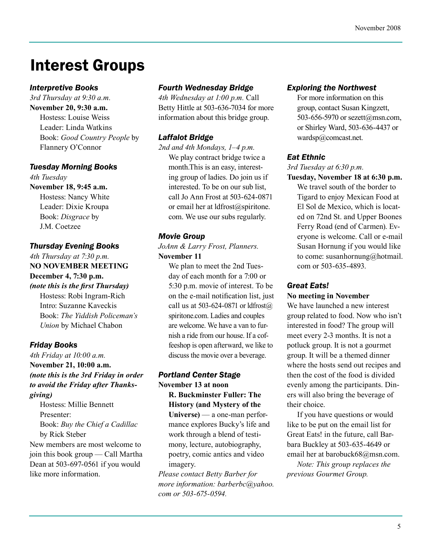## Interest Groups

#### *Interpretive Books*

*3rd Thursday at 9:30 a.m.* **November 20, 9:30 a.m.** Hostess: Louise Weiss Leader: Linda Watkins Book: *Good Country People* by Flannery O'Connor

#### *Tuesday Morning Books*

*4th Tuesday* **November 18, 9:45 a.m.** Hostess: Nancy White Leader: Dixie Kroupa Book: *Disgrace* by J.M. Coetzee

#### *Thursday Evening Books*

*4th Thursday at 7:30 p.m.* **NO NOVEMBER MEETING December 4, 7:30 p.m.**  *(note this is the first Thursday)* Hostess: Robi Ingram-Rich

Intro: Suzanne Kaveckis Book: *The Yiddish Policeman's Union* by Michael Chabon

### *Friday Books*

*4th Friday at 10:00 a.m.* **November 21, 10:00 a.m.** *(note this is the 3rd Friday in order to avoid the Friday after Thanksgiving)*

Hostess: Millie Bennett Presenter: Book: *Buy the Chief a Cadillac* by Rick Steber

New members are most welcome to join this book group — Call Martha Dean at 503-697-0561 if you would like more information.

### *Fourth Wednesday Bridge*

*4th Wednesday at 1:00 p.m.* Call Betty Hittle at 503-636-7034 for more information about this bridge group.

### *Laffalot Bridge*

*2nd and 4th Mondays, 1–4 p.m.* We play contract bridge twice a month.This is an easy, interesting group of ladies. Do join us if interested. To be on our sub list, call Jo Ann Frost at 503-624-0871 or email her at ldfrost@spiritone. com. We use our subs regularly.

#### *Movie Group*

*JoAnn & Larry Frost, Planners.* **November 11**

We plan to meet the 2nd Tuesday of each month for a 7:00 or 5:30 p.m. movie of interest. To be on the e-mail notification list, just call us at 503-624-0871 or  $ldf(\alpha)$ spiritone.com. Ladies and couples are welcome. We have a van to furnish a ride from our house. If a coffeeshop is open afterward, we like to discuss the movie over a beverage.

#### *Portland Center Stage*

**November 13 at noon**

**R. Buckminster Fuller: The History (and Mystery of the Universe)** — a one-man performance explores Bucky's life and work through a blend of testimony, lecture, autobiography, poetry, comic antics and video imagery.

*Please contact Betty Barber for more information: barberbc@yahoo. com or 503-675-0594.* 

### *Exploring the Northwest*

For more information on this group, contact Susan Kingzett, 503-656-5970 or sezett@msn.com, or Shirley Ward, 503-636-4437 or wardsp@comcast.net.

### *Eat Ethnic*

*3rd Tuesday at 6:30 p.m.*

**Tuesday, November 18 at 6:30 p.m.** We travel south of the border to Tigard to enjoy Mexican Food at El Sol de Mexico, which is located on 72nd St. and Upper Boones Ferry Road (end of Carmen). Everyone is welcome. Call or e-mail Susan Hornung if you would like to come: susanhornung@hotmail. com or 503-635-4893.

### *Great Eats!*

#### **No meeting in November**

We have launched a new interest group related to food. Now who isn't interested in food? The group will meet every 2-3 months. It is not a potluck group. It is not a gourmet group. It will be a themed dinner where the hosts send out recipes and then the cost of the food is divided evenly among the participants. Diners will also bring the beverage of their choice.

If you have questions or would like to be put on the email list for Great Eats! in the future, call Barbara Buckley at 503-635-4649 or email her at barobuck68@msn.com.

*Note: This group replaces the previous Gourmet Group.*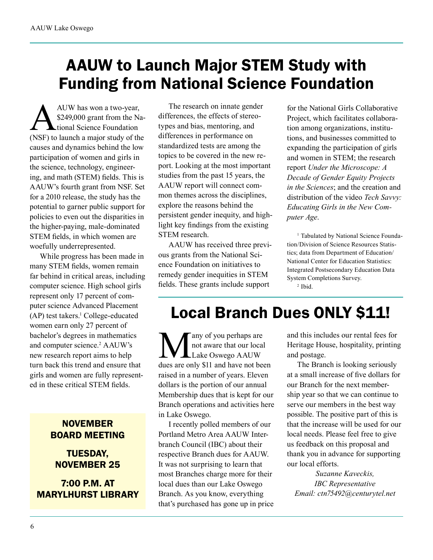# AAUW to Launch Major STEM Study with Funding from National Science Foundation

AUW has won a two-year,<br>\$249,000 grant from the National Science Foundation<br>(NSF) to launch a major study of the \$249,000 grant from the National Science Foundation (NSF) to launch a major study of the causes and dynamics behind the low participation of women and girls in the science, technology, engineering, and math (STEM) fields. This is AAUW's fourth grant from NSF. Set for a 2010 release, the study has the potential to garner public support for policies to even out the disparities in the higher-paying, male-dominated STEM fields, in which women are woefully underrepresented.

While progress has been made in many STEM fields, women remain far behind in critical areas, including computer science. High school girls represent only 17 percent of computer science Advanced Placement (AP) test takers.<sup>1</sup> College-educated women earn only 27 percent of bachelor's degrees in mathematics and computer science.<sup>2</sup> AAUW's new research report aims to help turn back this trend and ensure that girls and women are fully represented in these critical STEM fields.

### **NOVEMBER** BOARD MEETING

## TUESDAY, NOVEMBER 25

7:00 P.M. AT MARYLHURST LIBRARY

The research on innate gender differences, the effects of stereotypes and bias, mentoring, and differences in performance on standardized tests are among the topics to be covered in the new report. Looking at the most important studies from the past 15 years, the AAUW report will connect common themes across the disciplines, explore the reasons behind the persistent gender inequity, and highlight key findings from the existing STEM research.

AAUW has received three previous grants from the National Science Foundation on initiatives to remedy gender inequities in STEM fields. These grants include support

for the National Girls Collaborative Project, which facilitates collaboration among organizations, institutions, and businesses committed to expanding the participation of girls and women in STEM; the research report *Under the Microscope: A Decade of Gender Equity Projects in the Sciences*; and the creation and distribution of the video *Tech Savvy: Educating Girls in the New Computer Age*.

<sup>1</sup> Tabulated by National Science Foundation/Division of Science Resources Statistics; data from Department of Education/ National Center for Education Statistics: Integrated Postsecondary Education Data System Completions Survey. 2 Ibid.

## Local Branch Dues ONLY \$11!

Many of you perhaps are<br>
not aware that our local<br>
dues are only \$11 and have not been not aware that our local Lake Oswego AAUW raised in a number of years. Eleven dollars is the portion of our annual Membership dues that is kept for our Branch operations and activities here in Lake Oswego.

I recently polled members of our Portland Metro Area AAUW Interbranch Council (IBC) about their respective Branch dues for AAUW. It was not surprising to learn that most Branches charge more for their local dues than our Lake Oswego Branch. As you know, everything that's purchased has gone up in price and this includes our rental fees for Heritage House, hospitality, printing and postage.

The Branch is looking seriously at a small increase of five dollars for our Branch for the next membership year so that we can continue to serve our members in the best way possible. The positive part of this is that the increase will be used for our local needs. Please feel free to give us feedback on this proposal and thank you in advance for supporting our local efforts.

*Suzanne Kaveckis, IBC Representative Email: ctn75492@centurytel.net*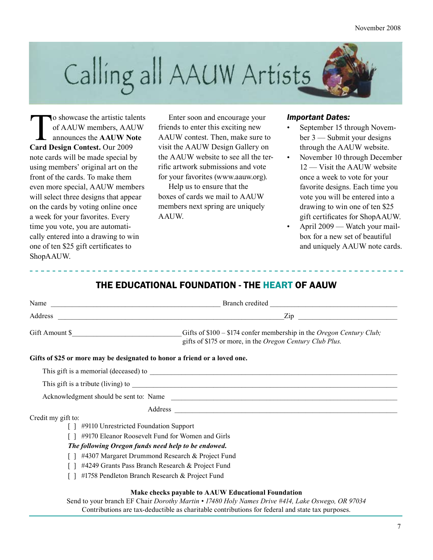

To showcase the artistic talents<br>of AAUW members, AAUW<br>announces the **AAUW Note**<br>Card Design Contest Our 2009 of AAUW members, AAUW announces the **AAUW Note Card Design Contest.** Our 2009 note cards will be made special by using members' original art on the front of the cards. To make them even more special, AAUW members will select three designs that appear on the cards by voting online once a week for your favorites. Every time you vote, you are automatically entered into a drawing to win one of ten \$25 gift certificates to ShopAAUW.

Enter soon and encourage your friends to enter this exciting new AAUW contest. Then, make sure to visit the AAUW Design Gallery on the AAUW website to see all the terrific artwork submissions and vote for your favorites (www.aauw.org).

Help us to ensure that the boxes of cards we mail to AAUW members next spring are uniquely AAUW.

#### *Important Dates:*

- September 15 through November 3 — Submit your designs through the AAUW website.
- November 10 through December 12 — Visit the AAUW website once a week to vote for your favorite designs. Each time you vote you will be entered into a drawing to win one of ten \$25 gift certificates for ShopAAUW.
- April 2009 Watch your mailbox for a new set of beautiful and uniquely AAUW note cards.

### THE EDUCATIONAL FOUNDATION - THE HEART OF AAUW

| Name                                                                      | Branch credited                                                                                                                  |  |  |  |
|---------------------------------------------------------------------------|----------------------------------------------------------------------------------------------------------------------------------|--|--|--|
| Address                                                                   | $\chi$ <sub>10</sub>                                                                                                             |  |  |  |
| Gift Amount \$                                                            | Gifts of \$100 – \$174 confer membership in the Oregon Century Club;<br>gifts of \$175 or more, in the Oregon Century Club Plus. |  |  |  |
| Gifts of \$25 or more may be designated to honor a friend or a loved one. |                                                                                                                                  |  |  |  |

## This gift is a memorial (deceased) to \_\_\_\_\_\_\_\_\_\_\_\_\_\_\_\_\_\_\_\_\_\_\_\_\_\_\_\_\_\_\_\_\_\_\_\_\_\_\_\_\_\_\_\_\_\_\_\_\_\_\_\_\_\_\_\_\_\_\_\_\_\_\_\_\_\_\_\_\_\_

This gift is a tribute (living) to

Acknowledgment should be sent to: Name

Address

Credit my gift to:

- [ ] #9110 Unrestricted Foundation Support
- [ ] #9170 Eleanor Roosevelt Fund for Women and Girls

#### *The following Oregon funds need help to be endowed.*

- [ ] #4307 Margaret Drummond Research & Project Fund
- [ ] #4249 Grants Pass Branch Research & Project Fund
- [ ] #1758 Pendleton Branch Research & Project Fund

#### **Make checks payable to AAUW Educational Foundation**

Send to your branch EF Chair *Dorothy Martin • 17480 Holy Names Drive #414, Lake Oswego, OR 97034* Contributions are tax-deductible as charitable contributions for federal and state tax purposes.